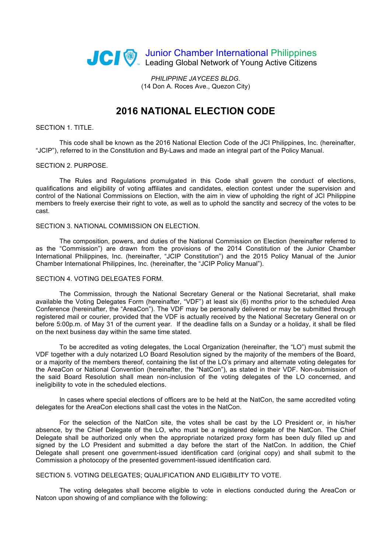

*PHILIPPINE JAYCEES BLDG.* (14 Don A. Roces Ave., Quezon City)

# **2016 NATIONAL ELECTION CODE**

# SECTION 1. TITLE.

This code shall be known as the 2016 National Election Code of the JCI Philippines, Inc. (hereinafter, "JCIP"), referred to in the Constitution and By-Laws and made an integral part of the Policy Manual.

#### SECTION 2. PURPOSE.

The Rules and Regulations promulgated in this Code shall govern the conduct of elections, qualifications and eligibility of voting affiliates and candidates, election contest under the supervision and control of the National Commissions on Election, with the aim in view of upholding the right of JCI Philippine members to freely exercise their right to vote, as well as to uphold the sanctity and secrecy of the votes to be cast.

## SECTION 3. NATIONAL COMMISSION ON ELECTION.

The composition, powers, and duties of the National Commission on Election (hereinafter referred to as the "Commission") are drawn from the provisions of the 2014 Constitution of the Junior Chamber International Philippines, Inc. (hereinafter, "JCIP Constitution") and the 2015 Policy Manual of the Junior Chamber International Philippines, Inc. (hereinafter, the "JCIP Policy Manual").

# SECTION 4. VOTING DELEGATES FORM.

The Commission, through the National Secretary General or the National Secretariat, shall make available the Voting Delegates Form (hereinafter, "VDF") at least six (6) months prior to the scheduled Area Conference (hereinafter, the "AreaCon"). The VDF may be personally delivered or may be submitted through registered mail or courier, provided that the VDF is actually received by the National Secretary General on or before 5:00p.m. of May 31 of the current year. If the deadline falls on a Sunday or a holiday, it shall be filed on the next business day within the same time stated.

To be accredited as voting delegates, the Local Organization (hereinafter, the "LO") must submit the VDF together with a duly notarized LO Board Resolution signed by the majority of the members of the Board, or a majority of the members thereof, containing the list of the LO's primary and alternate voting delegates for the AreaCon or National Convention (hereinafter, the "NatCon"), as stated in their VDF. Non-submission of the said Board Resolution shall mean non-inclusion of the voting delegates of the LO concerned, and ineligibility to vote in the scheduled elections.

In cases where special elections of officers are to be held at the NatCon, the same accredited voting delegates for the AreaCon elections shall cast the votes in the NatCon.

For the selection of the NatCon site, the votes shall be cast by the LO President or, in his/her absence, by the Chief Delegate of the LO, who must be a registered delegate of the NatCon. The Chief Delegate shall be authorized only when the appropriate notarized proxy form has been duly filled up and signed by the LO President and submitted a day before the start of the NatCon. In addition, the Chief Delegate shall present one government-issued identification card (original copy) and shall submit to the Commission a photocopy of the presented government-issued identification card.

### SECTION 5. VOTING DELEGATES; QUALIFICATION AND ELIGIBILITY TO VOTE.

The voting delegates shall become eligible to vote in elections conducted during the AreaCon or Natcon upon showing of and compliance with the following: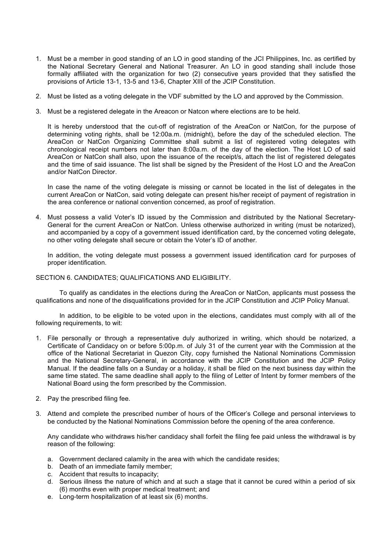- 1. Must be a member in good standing of an LO in good standing of the JCI Philippines, Inc. as certified by the National Secretary General and National Treasurer. An LO in good standing shall include those formally affiliated with the organization for two (2) consecutive years provided that they satisfied the provisions of Article 13-1, 13-5 and 13-6, Chapter XIII of the JCIP Constitution.
- 2. Must be listed as a voting delegate in the VDF submitted by the LO and approved by the Commission.
- 3. Must be a registered delegate in the Areacon or Natcon where elections are to be held.

It is hereby understood that the cut-off of registration of the AreaCon or NatCon, for the purpose of determining voting rights, shall be 12:00a.m. (midnight), before the day of the scheduled election. The AreaCon or NatCon Organizing Committee shall submit a list of registered voting delegates with chronological receipt numbers not later than 8:00a.m. of the day of the election. The Host LO of said AreaCon or NatCon shall also, upon the issuance of the receipt/s, attach the list of registered delegates and the time of said issuance. The list shall be signed by the President of the Host LO and the AreaCon and/or NatCon Director.

In case the name of the voting delegate is missing or cannot be located in the list of delegates in the current AreaCon or NatCon, said voting delegate can present his/her receipt of payment of registration in the area conference or national convention concerned, as proof of registration.

4. Must possess a valid Voter's ID issued by the Commission and distributed by the National Secretary-General for the current AreaCon or NatCon*.* Unless otherwise authorized in writing (must be notarized), and accompanied by a copy of a government issued identification card, by the concerned voting delegate, no other voting delegate shall secure or obtain the Voter's ID of another.

In addition, the voting delegate must possess a government issued identification card for purposes of proper identification.

## SECTION 6. CANDIDATES; QUALIFICATIONS AND ELIGIBILITY.

To qualify as candidates in the elections during the AreaCon or NatCon, applicants must possess the qualifications and none of the disqualifications provided for in the JCIP Constitution and JCIP Policy Manual.

In addition, to be eligible to be voted upon in the elections, candidates must comply with all of the following requirements, to wit:

- 1. File personally or through a representative duly authorized in writing, which should be notarized, a Certificate of Candidacy on or before 5:00p.m. of July 31 of the current year with the Commission at the office of the National Secretariat in Quezon City, copy furnished the National Nominations Commission and the National Secretary-General, in accordance with the JCIP Constitution and the JCIP Policy Manual. If the deadline falls on a Sunday or a holiday, it shall be filed on the next business day within the same time stated. The same deadline shall apply to the filing of Letter of Intent by former members of the National Board using the form prescribed by the Commission.
- 2. Pay the prescribed filing fee.
- 3. Attend and complete the prescribed number of hours of the Officer's College and personal interviews to be conducted by the National Nominations Commission before the opening of the area conference.

Any candidate who withdraws his/her candidacy shall forfeit the filing fee paid unless the withdrawal is by reason of the following:

- a. Government declared calamity in the area with which the candidate resides;
- b. Death of an immediate family member;
- c. Accident that results to incapacity;
- d. Serious illness the nature of which and at such a stage that it cannot be cured within a period of six (6) months even with proper medical treatment; and
- e. Long-term hospitalization of at least six (6) months.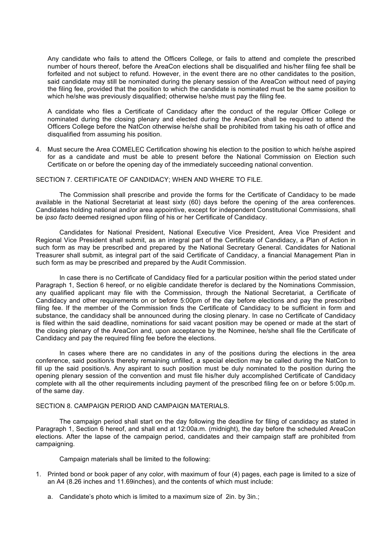Any candidate who fails to attend the Officers College, or fails to attend and complete the prescribed number of hours thereof, before the AreaCon elections shall be disqualified and his/her filing fee shall be forfeited and not subject to refund. However, in the event there are no other candidates to the position, said candidate may still be nominated during the plenary session of the AreaCon without need of paying the filing fee, provided that the position to which the candidate is nominated must be the same position to which he/she was previously disqualified; otherwise he/she must pay the filing fee.

A candidate who files a Certificate of Candidacy after the conduct of the regular Officer College or nominated during the closing plenary and elected during the AreaCon shall be required to attend the Officers College before the NatCon otherwise he/she shall be prohibited from taking his oath of office and disqualified from assuming his position.

4. Must secure the Area COMELEC Certification showing his election to the position to which he/she aspired for as a candidate and must be able to present before the National Commission on Election such Certificate on or before the opening day of the immediately succeeding national convention.

# SECTION 7. CERTIFICATE OF CANDIDACY; WHEN AND WHERE TO FILE.

The Commission shall prescribe and provide the forms for the Certificate of Candidacy to be made available in the National Secretariat at least sixty (60) days before the opening of the area conferences. Candidates holding national and/or area appointive, except for independent Constitutional Commissions, shall be *ipso facto* deemed resigned upon filing of his or her Certificate of Candidacy.

Candidates for National President, National Executive Vice President, Area Vice President and Regional Vice President shall submit, as an integral part of the Certificate of Candidacy, a Plan of Action in such form as may be prescribed and prepared by the National Secretary General. Candidates for National Treasurer shall submit, as integral part of the said Certificate of Candidacy, a financial Management Plan in such form as may be prescribed and prepared by the Audit Commission.

In case there is no Certificate of Candidacy filed for a particular position within the period stated under Paragraph 1, Section 6 hereof, or no eligible candidate therefor is declared by the Nominations Commission, any qualified applicant may file with the Commission, through the National Secretariat, a Certificate of Candidacy and other requirements on or before 5:00pm of the day before elections and pay the prescribed filing fee. If the member of the Commission finds the Certificate of Candidacy to be sufficient in form and substance, the candidacy shall be announced during the closing plenary. In case no Certificate of Candidacy is filed within the said deadline, nominations for said vacant position may be opened or made at the start of the closing plenary of the AreaCon and, upon acceptance by the Nominee, he/she shall file the Certificate of Candidacy and pay the required filing fee before the elections.

In cases where there are no candidates in any of the positions during the elections in the area conference, said position/s thereby remaining unfilled, a special election may be called during the NatCon to fill up the said position/s. Any aspirant to such position must be duly nominated to the position during the opening plenary session of the convention and must file his/her duly accomplished Certificate of Candidacy complete with all the other requirements including payment of the prescribed filing fee on or before 5:00p.m. of the same day.

# SECTION 8. CAMPAIGN PERIOD AND CAMPAIGN MATERIALS.

The campaign period shall start on the day following the deadline for filing of candidacy as stated in Paragraph 1, Section 6 hereof, and shall end at 12:00a.m. (midnight), the day before the scheduled AreaCon elections. After the lapse of the campaign period, candidates and their campaign staff are prohibited from campaigning.

Campaign materials shall be limited to the following:

- 1. Printed bond or book paper of any color, with maximum of four (4) pages, each page is limited to a size of an A4 (8.26 inches and 11.69inches), and the contents of which must include:
	- a. Candidate's photo which is limited to a maximum size of 2in. by 3in.;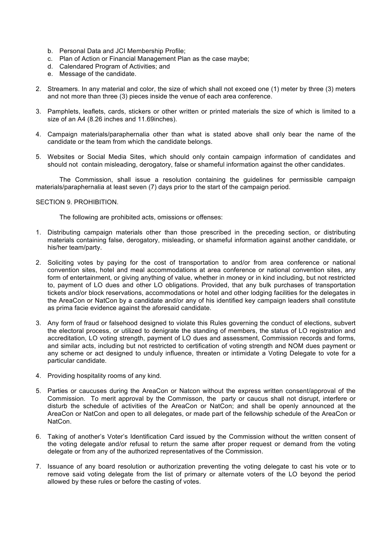- b. Personal Data and JCI Membership Profile;
- c. Plan of Action or Financial Management Plan as the case maybe;
- d. Calendared Program of Activities; and
- e. Message of the candidate.
- 2. Streamers. In any material and color, the size of which shall not exceed one (1) meter by three (3) meters and not more than three (3) pieces inside the venue of each area conference.
- 3. Pamphlets, leaflets, cards, stickers or other written or printed materials the size of which is limited to a size of an A4 (8.26 inches and 11.69inches).
- 4. Campaign materials/paraphernalia other than what is stated above shall only bear the name of the candidate or the team from which the candidate belongs.
- 5. Websites or Social Media Sites, which should only contain campaign information of candidates and should not contain misleading, derogatory, false or shameful information against the other candidates.

The Commission, shall issue a resolution containing the guidelines for permissible campaign materials/paraphernalia at least seven (7) days prior to the start of the campaign period.

# SECTION 9. PROHIBITION.

The following are prohibited acts, omissions or offenses:

- 1. Distributing campaign materials other than those prescribed in the preceding section, or distributing materials containing false, derogatory, misleading, or shameful information against another candidate, or his/her team/party.
- 2. Soliciting votes by paying for the cost of transportation to and/or from area conference or national convention sites, hotel and meal accommodations at area conference or national convention sites, any form of entertainment, or giving anything of value, whether in money or in kind including, but not restricted to, payment of LO dues and other LO obligations. Provided, that any bulk purchases of transportation tickets and/or block reservations, accommodations or hotel and other lodging facilities for the delegates in the AreaCon or NatCon by a candidate and/or any of his identified key campaign leaders shall constitute as prima facie evidence against the aforesaid candidate.
- 3. Any form of fraud or falsehood designed to violate this Rules governing the conduct of elections, subvert the electoral process, or utilized to denigrate the standing of members, the status of LO registration and accreditation, LO voting strength, payment of LO dues and assessment, Commission records and forms, and similar acts, including but not restricted to certification of voting strength and NOM dues payment or any scheme or act designed to unduly influence, threaten or intimidate a Voting Delegate to vote for a particular candidate.
- 4. Providing hospitality rooms of any kind.
- 5. Parties or caucuses during the AreaCon or Natcon without the express written consent/approval of the Commission. To merit approval by the Commisson, the party or caucus shall not disrupt, interfere or disturb the schedule of activities of the AreaCon or NatCon; and shall be openly announced at the AreaCon or NatCon and open to all delegates, or made part of the fellowship schedule of the AreaCon or NatCon.
- 6. Taking of another's Voter's Identification Card issued by the Commission without the written consent of the voting delegate and/or refusal to return the same after proper request or demand from the voting delegate or from any of the authorized representatives of the Commission.
- 7. Issuance of any board resolution or authorization preventing the voting delegate to cast his vote or to remove said voting delegate from the list of primary or alternate voters of the LO beyond the period allowed by these rules or before the casting of votes.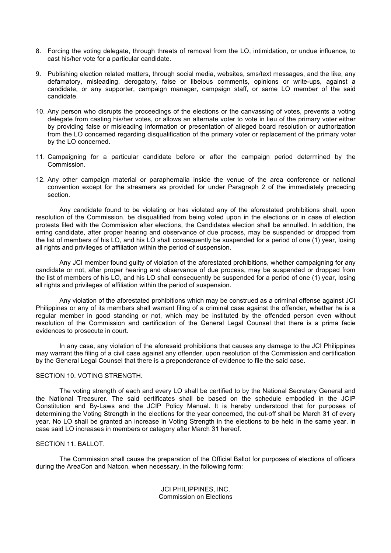- 8. Forcing the voting delegate, through threats of removal from the LO, intimidation, or undue influence, to cast his/her vote for a particular candidate.
- 9. Publishing election related matters, through social media, websites, sms/text messages, and the like, any defamatory, misleading, derogatory, false or libelous comments, opinions or write-ups, against a candidate, or any supporter, campaign manager, campaign staff, or same LO member of the said candidate.
- 10. Any person who disrupts the proceedings of the elections or the canvassing of votes, prevents a voting delegate from casting his/her votes, or allows an alternate voter to vote in lieu of the primary voter either by providing false or misleading information or presentation of alleged board resolution or authorization from the LO concerned regarding disqualification of the primary voter or replacement of the primary voter by the LO concerned.
- 11. Campaigning for a particular candidate before or after the campaign period determined by the Commission.
- 12. Any other campaign material or paraphernalia inside the venue of the area conference or national convention except for the streamers as provided for under Paragraph 2 of the immediately preceding section.

Any candidate found to be violating or has violated any of the aforestated prohibitions shall, upon resolution of the Commission, be disqualified from being voted upon in the elections or in case of election protests filed with the Commission after elections, the Candidates election shall be annulled. In addition, the erring candidate, after proper hearing and observance of due process, may be suspended or dropped from the list of members of his LO, and his LO shall consequently be suspended for a period of one (1) year, losing all rights and privileges of affiliation within the period of suspension.

Any JCI member found guilty of violation of the aforestated prohibitions, whether campaigning for any candidate or not, after proper hearing and observance of due process, may be suspended or dropped from the list of members of his LO, and his LO shall consequently be suspended for a period of one (1) year, losing all rights and privileges of affiliation within the period of suspension.

Any violation of the aforestated prohibitions which may be construed as a criminal offense against JCI Philippines or any of its members shall warrant filing of a criminal case against the offender, whether he is a regular member in good standing or not, which may be instituted by the offended person even without resolution of the Commission and certification of the General Legal Counsel that there is a prima facie evidences to prosecute in court.

In any case, any violation of the aforesaid prohibitions that causes any damage to the JCI Philippines may warrant the filing of a civil case against any offender, upon resolution of the Commission and certification by the General Legal Counsel that there is a preponderance of evidence to file the said case.

## SECTION 10. VOTING STRENGTH.

The voting strength of each and every LO shall be certified to by the National Secretary General and the National Treasurer. The said certificates shall be based on the schedule embodied in the JCIP Constitution and By-Laws and the JCIP Policy Manual. It is hereby understood that for purposes of determining the Voting Strength in the elections for the year concerned, the cut-off shall be March 31 of every year. No LO shall be granted an increase in Voting Strength in the elections to be held in the same year, in case said LO increases in members or category after March 31 hereof.

# SECTION 11. BALLOT.

The Commission shall cause the preparation of the Official Ballot for purposes of elections of officers during the AreaCon and Natcon, when necessary, in the following form:

> JCI PHILIPPINES, INC. Commission on Elections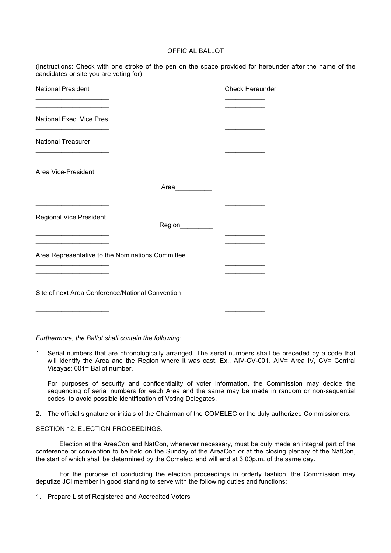# OFFICIAL BALLOT

(Instructions: Check with one stroke of the pen on the space provided for hereunder after the name of the candidates or site you are voting for)

| <b>National President</b>                                                                                                                           |                 | <b>Check Hereunder</b> |
|-----------------------------------------------------------------------------------------------------------------------------------------------------|-----------------|------------------------|
| <u> 1989 - Johann John Stone, markin fan it ferstjer fan it ferstjer fan it ferstjer fan it ferstjer fan it ferstj</u><br>National Exec. Vice Pres. |                 |                        |
| <b>National Treasurer</b>                                                                                                                           |                 |                        |
| Area Vice-President                                                                                                                                 |                 |                        |
|                                                                                                                                                     | Area__________  |                        |
|                                                                                                                                                     |                 |                        |
| <b>Regional Vice President</b>                                                                                                                      | Region_________ |                        |
|                                                                                                                                                     |                 |                        |
| Area Representative to the Nominations Committee                                                                                                    |                 |                        |
|                                                                                                                                                     |                 |                        |
| Site of next Area Conference/National Convention                                                                                                    |                 |                        |
|                                                                                                                                                     |                 |                        |

*Furthermore, the Ballot shall contain the following:*

1. Serial numbers that are chronologically arranged. The serial numbers shall be preceded by a code that will identify the Area and the Region where it was cast. Ex.. AIV-CV-001. AIV= Area IV, CV= Central Visayas; 001= Ballot number.

For purposes of security and confidentiality of voter information, the Commission may decide the sequencing of serial numbers for each Area and the same may be made in random or non-sequential codes, to avoid possible identification of Voting Delegates.

2. The official signature or initials of the Chairman of the COMELEC or the duly authorized Commissioners.

SECTION 12. ELECTION PROCEEDINGS.

Election at the AreaCon and NatCon, whenever necessary, must be duly made an integral part of the conference or convention to be held on the Sunday of the AreaCon or at the closing plenary of the NatCon, the start of which shall be determined by the Comelec, and will end at 3:00p.m. of the same day.

For the purpose of conducting the election proceedings in orderly fashion, the Commission may deputize JCI member in good standing to serve with the following duties and functions:

1. Prepare List of Registered and Accredited Voters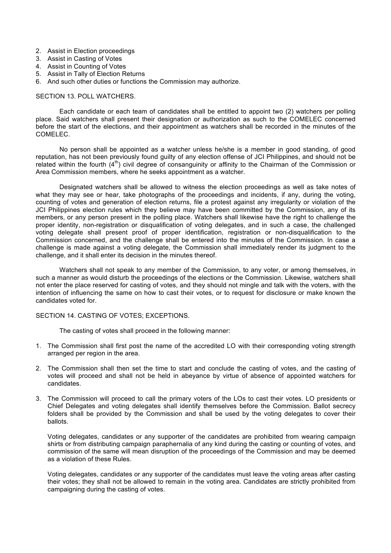- 2. Assist in Election proceedings
- 3. Assist in Casting of Votes
- 4. Assist in Counting of Votes
- 5. Assist in Tally of Election Returns
- 6. And such other duties or functions the Commission may authorize.

#### SECTION 13. POLL WATCHERS.

Each candidate or each team of candidates shall be entitled to appoint two (2) watchers per polling place. Said watchers shall present their designation or authorization as such to the COMELEC concerned before the start of the elections, and their appointment as watchers shall be recorded in the minutes of the COMELEC.

No person shall be appointed as a watcher unless he/she is a member in good standing, of good reputation, has not been previously found guilty of any election offense of JCI Philippines, and should not be related within the fourth  $(4<sup>th</sup>)$  civil degree of consanguinity or affinity to the Chairman of the Commission or Area Commission members, where he seeks appointment as a watcher.

Designated watchers shall be allowed to witness the election proceedings as well as take notes of what they may see or hear, take photographs of the proceedings and incidents, if any, during the voting, counting of votes and generation of election returns, file a protest against any irregularity or violation of the JCI Philippines election rules which they believe may have been committed by the Commission, any of its members, or any person present in the polling place. Watchers shall likewise have the right to challenge the proper identity, non-registration or disqualification of voting delegates, and in such a case, the challenged voting delegate shall present proof of proper identification, registration or non-disqualification to the Commission concerned, and the challenge shall be entered into the minutes of the Commission. In case a challenge is made against a voting delegate, the Commission shall immediately render its judgment to the challenge, and it shall enter its decision in the minutes thereof.

Watchers shall not speak to any member of the Commission, to any voter, or among themselves, in such a manner as would disturb the proceedings of the elections or the Commission. Likewise, watchers shall not enter the place reserved for casting of votes, and they should not mingle and talk with the voters, with the intention of influencing the same on how to cast their votes, or to request for disclosure or make known the candidates voted for.

#### SECTION 14. CASTING OF VOTES; EXCEPTIONS.

The casting of votes shall proceed in the following manner:

- 1. The Commission shall first post the name of the accredited LO with their corresponding voting strength arranged per region in the area.
- 2. The Commission shall then set the time to start and conclude the casting of votes, and the casting of votes will proceed and shall not be held in abeyance by virtue of absence of appointed watchers for candidates.
- 3. The Commission will proceed to call the primary voters of the LOs to cast their votes. LO presidents or Chief Delegates and voting delegates shall identify themselves before the Commission. Ballot secrecy folders shall be provided by the Commission and shall be used by the voting delegates to cover their ballots.

Voting delegates, candidates or any supporter of the candidates are prohibited from wearing campaign shirts or from distributing campaign paraphernalia of any kind during the casting or counting of votes, and commission of the same will mean disruption of the proceedings of the Commission and may be deemed as a violation of these Rules.

Voting delegates, candidates or any supporter of the candidates must leave the voting areas after casting their votes; they shall not be allowed to remain in the voting area. Candidates are strictly prohibited from campaigning during the casting of votes.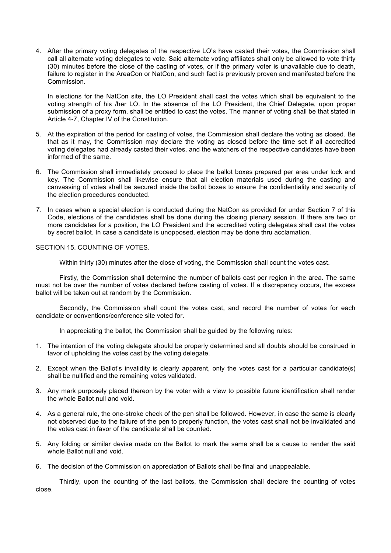4. After the primary voting delegates of the respective LO's have casted their votes, the Commission shall call all alternate voting delegates to vote. Said alternate voting affiliates shall only be allowed to vote thirty (30) minutes before the close of the casting of votes, or if the primary voter is unavailable due to death, failure to register in the AreaCon or NatCon, and such fact is previously proven and manifested before the Commission.

In elections for the NatCon site, the LO President shall cast the votes which shall be equivalent to the voting strength of his /her LO. In the absence of the LO President, the Chief Delegate, upon proper submission of a proxy form, shall be entitled to cast the votes. The manner of voting shall be that stated in Article 4-7, Chapter IV of the Constitution.

- 5. At the expiration of the period for casting of votes, the Commission shall declare the voting as closed. Be that as it may, the Commission may declare the voting as closed before the time set if all accredited voting delegates had already casted their votes, and the watchers of the respective candidates have been informed of the same.
- 6. The Commission shall immediately proceed to place the ballot boxes prepared per area under lock and key. The Commission shall likewise ensure that all election materials used during the casting and canvassing of votes shall be secured inside the ballot boxes to ensure the confidentiality and security of the election procedures conducted.
- *7.* In cases when a special election is conducted during the NatCon as provided for under Section 7 of this Code, elections of the candidates shall be done during the closing plenary session. If there are two or more candidates for a position, the LO President and the accredited voting delegates shall cast the votes by secret ballot. In case a candidate is unopposed, election may be done thru acclamation.

SECTION 15. COUNTING OF VOTES.

Within thirty (30) minutes after the close of voting, the Commission shall count the votes cast.

Firstly, the Commission shall determine the number of ballots cast per region in the area. The same must not be over the number of votes declared before casting of votes. If a discrepancy occurs, the excess ballot will be taken out at random by the Commission.

Secondly, the Commission shall count the votes cast, and record the number of votes for each candidate or conventions/conference site voted for.

In appreciating the ballot, the Commission shall be guided by the following rules:

- 1. The intention of the voting delegate should be properly determined and all doubts should be construed in favor of upholding the votes cast by the voting delegate.
- 2. Except when the Ballot's invalidity is clearly apparent, only the votes cast for a particular candidate(s) shall be nullified and the remaining votes validated.
- 3. Any mark purposely placed thereon by the voter with a view to possible future identification shall render the whole Ballot null and void.
- 4. As a general rule, the one-stroke check of the pen shall be followed. However, in case the same is clearly not observed due to the failure of the pen to properly function, the votes cast shall not be invalidated and the votes cast in favor of the candidate shall be counted.
- 5. Any folding or similar devise made on the Ballot to mark the same shall be a cause to render the said whole Ballot null and void.
- 6. The decision of the Commission on appreciation of Ballots shall be final and unappealable.

Thirdly, upon the counting of the last ballots, the Commission shall declare the counting of votes close.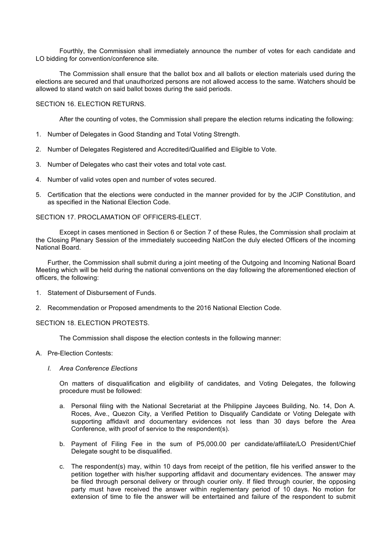Fourthly, the Commission shall immediately announce the number of votes for each candidate and LO bidding for convention/conference site.

The Commission shall ensure that the ballot box and all ballots or election materials used during the elections are secured and that unauthorized persons are not allowed access to the same. Watchers should be allowed to stand watch on said ballot boxes during the said periods.

SECTION 16. ELECTION RETURNS.

After the counting of votes, the Commission shall prepare the election returns indicating the following:

- 1. Number of Delegates in Good Standing and Total Voting Strength.
- 2. Number of Delegates Registered and Accredited/Qualified and Eligible to Vote.
- 3. Number of Delegates who cast their votes and total vote cast.
- 4. Number of valid votes open and number of votes secured.
- 5. Certification that the elections were conducted in the manner provided for by the JCIP Constitution, and as specified in the National Election Code.

SECTION 17. PROCLAMATION OF OFFICERS-ELECT.

Except in cases mentioned in Section 6 or Section 7 of these Rules, the Commission shall proclaim at the Closing Plenary Session of the immediately succeeding NatCon the duly elected Officers of the incoming National Board.

Further, the Commission shall submit during a joint meeting of the Outgoing and Incoming National Board Meeting which will be held during the national conventions on the day following the aforementioned election of officers, the following:

- 1. Statement of Disbursement of Funds.
- 2. Recommendation or Proposed amendments to the 2016 National Election Code.

## SECTION 18. ELECTION PROTESTS.

The Commission shall dispose the election contests in the following manner:

- A. Pre-Election Contests:
	- *I. Area Conference Elections*

On matters of disqualification and eligibility of candidates, and Voting Delegates, the following procedure must be followed:

- a. Personal filing with the National Secretariat at the Philippine Jaycees Building, No. 14, Don A. Roces, Ave., Quezon City, a Verified Petition to Disqualify Candidate or Voting Delegate with supporting affidavit and documentary evidences not less than 30 days before the Area Conference, with proof of service to the respondent(s).
- b. Payment of Filing Fee in the sum of P5,000.00 per candidate/affiliate/LO President/Chief Delegate sought to be disqualified.
- c. The respondent(s) may, within 10 days from receipt of the petition, file his verified answer to the petition together with his/her supporting affidavit and documentary evidences. The answer may be filed through personal delivery or through courier only. If filed through courier, the opposing party must have received the answer within reglementary period of 10 days. No motion for extension of time to file the answer will be entertained and failure of the respondent to submit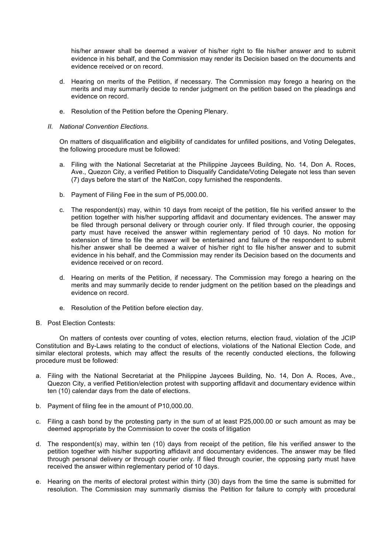his/her answer shall be deemed a waiver of his/her right to file his/her answer and to submit evidence in his behalf, and the Commission may render its Decision based on the documents and evidence received or on record.

- d. Hearing on merits of the Petition, if necessary. The Commission may forego a hearing on the merits and may summarily decide to render judgment on the petition based on the pleadings and evidence on record.
- e. Resolution of the Petition before the Opening Plenary.
- *II. National Convention Elections.*

On matters of disqualification and eligibility of candidates for unfilled positions, and Voting Delegates, the following procedure must be followed:

- a. Filing with the National Secretariat at the Philippine Jaycees Building, No. 14, Don A. Roces, Ave., Quezon City, a verified Petition to Disqualify Candidate/Voting Delegate not less than seven (7) days before the start of the NatCon, copy furnished the respondents.
- b. Payment of Filing Fee in the sum of P5,000.00.
- c. The respondent(s) may, within 10 days from receipt of the petition, file his verified answer to the petition together with his/her supporting affidavit and documentary evidences. The answer may be filed through personal delivery or through courier only. If filed through courier, the opposing party must have received the answer within reglementary period of 10 days. No motion for extension of time to file the answer will be entertained and failure of the respondent to submit his/her answer shall be deemed a waiver of his/her right to file his/her answer and to submit evidence in his behalf, and the Commission may render its Decision based on the documents and evidence received or on record.
- d. Hearing on merits of the Petition, if necessary. The Commission may forego a hearing on the merits and may summarily decide to render judgment on the petition based on the pleadings and evidence on record.
- e. Resolution of the Petition before election day.
- B. Post Election Contests:

On matters of contests over counting of votes, election returns, election fraud, violation of the JCIP Constitution and By-Laws relating to the conduct of elections, violations of the National Election Code, and similar electoral protests, which may affect the results of the recently conducted elections, the following procedure must be followed:

- a. Filing with the National Secretariat at the Philippine Jaycees Building, No. 14, Don A. Roces, Ave., Quezon City, a verified Petition/election protest with supporting affidavit and documentary evidence within ten (10) calendar days from the date of elections.
- b. Payment of filing fee in the amount of P10,000.00.
- c. Filing a cash bond by the protesting party in the sum of at least P25,000.00 or such amount as may be deemed appropriate by the Commission to cover the costs of litigation
- d. The respondent(s) may, within ten (10) days from receipt of the petition, file his verified answer to the petition together with his/her supporting affidavit and documentary evidences. The answer may be filed through personal delivery or through courier only. If filed through courier, the opposing party must have received the answer within reglementary period of 10 days.
- e. Hearing on the merits of electoral protest within thirty (30) days from the time the same is submitted for resolution. The Commission may summarily dismiss the Petition for failure to comply with procedural